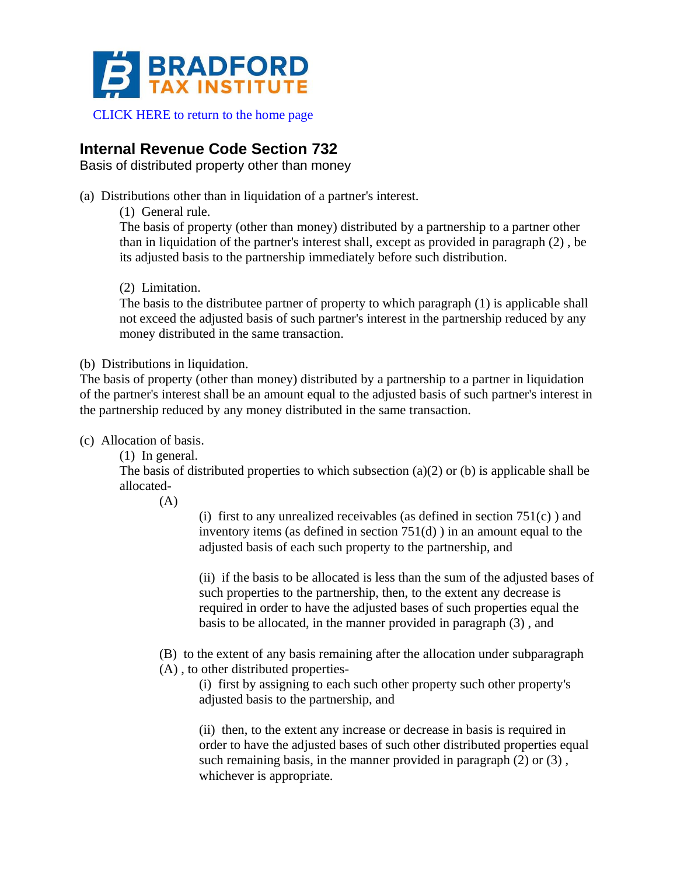

# **Internal Revenue Code Section 732**

Basis of distributed property other than money

(a) Distributions other than in liquidation of a partner's interest.

(1) General rule.

The basis of property (other than money) distributed by a partnership to a partner other than in liquidation of the partner's interest shall, except as provided in paragraph (2) , be its adjusted basis to the partnership immediately before such distribution.

### (2) Limitation.

The basis to the distributee partner of property to which paragraph (1) is applicable shall not exceed the adjusted basis of such partner's interest in the partnership reduced by any money distributed in the same transaction.

#### (b) Distributions in liquidation.

The basis of property (other than money) distributed by a partnership to a partner in liquidation of the partner's interest shall be an amount equal to the adjusted basis of such partner's interest in the partnership reduced by any money distributed in the same transaction.

(c) Allocation of basis.

(1) In general.

The basis of distributed properties to which subsection (a)(2) or (b) is applicable shall be allocated-

 $(A)$ 

(i) first to any unrealized receivables (as defined in section  $751(c)$ ) and inventory items (as defined in section 751(d) ) in an amount equal to the adjusted basis of each such property to the partnership, and

(ii) if the basis to be allocated is less than the sum of the adjusted bases of such properties to the partnership, then, to the extent any decrease is required in order to have the adjusted bases of such properties equal the basis to be allocated, in the manner provided in paragraph (3) , and

(B) to the extent of any basis remaining after the allocation under subparagraph

(A) , to other distributed properties-

(i) first by assigning to each such other property such other property's adjusted basis to the partnership, and

(ii) then, to the extent any increase or decrease in basis is required in order to have the adjusted bases of such other distributed properties equal such remaining basis, in the manner provided in paragraph (2) or (3). whichever is appropriate.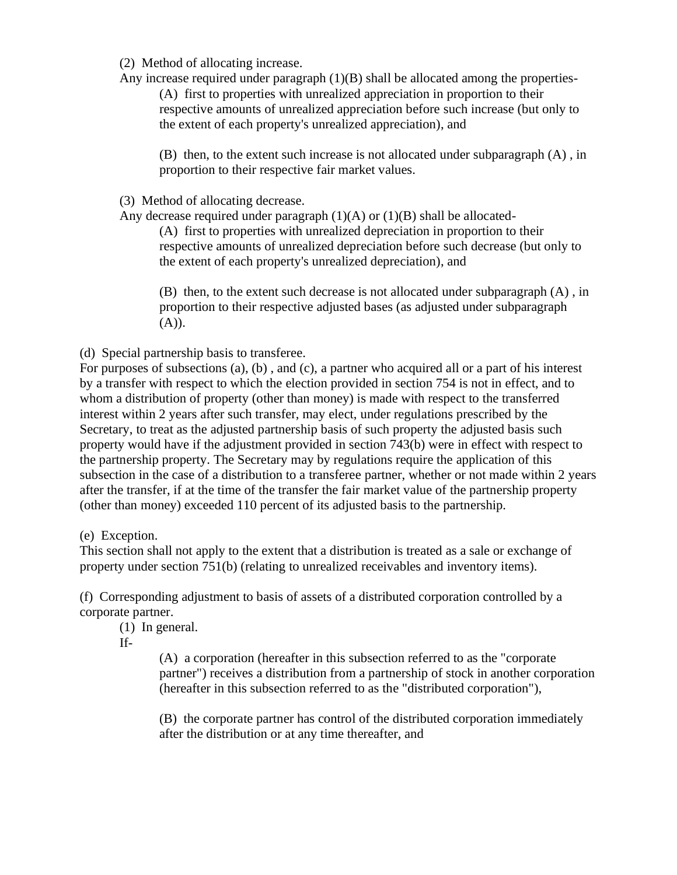(2) Method of allocating increase.

Any increase required under paragraph (1)(B) shall be allocated among the properties-

(A) first to properties with unrealized appreciation in proportion to their respective amounts of unrealized appreciation before such increase (but only to the extent of each property's unrealized appreciation), and

(B) then, to the extent such increase is not allocated under subparagraph (A) , in proportion to their respective fair market values.

(3) Method of allocating decrease.

Any decrease required under paragraph  $(1)(A)$  or  $(1)(B)$  shall be allocated-

(A) first to properties with unrealized depreciation in proportion to their respective amounts of unrealized depreciation before such decrease (but only to the extent of each property's unrealized depreciation), and

(B) then, to the extent such decrease is not allocated under subparagraph (A) , in proportion to their respective adjusted bases (as adjusted under subparagraph  $(A)).$ 

(d) Special partnership basis to transferee.

For purposes of subsections (a), (b) , and (c), a partner who acquired all or a part of his interest by a transfer with respect to which the election provided in section 754 is not in effect, and to whom a distribution of property (other than money) is made with respect to the transferred interest within 2 years after such transfer, may elect, under regulations prescribed by the Secretary, to treat as the adjusted partnership basis of such property the adjusted basis such property would have if the adjustment provided in section 743(b) were in effect with respect to the partnership property. The Secretary may by regulations require the application of this subsection in the case of a distribution to a transferee partner, whether or not made within 2 years after the transfer, if at the time of the transfer the fair market value of the partnership property (other than money) exceeded 110 percent of its adjusted basis to the partnership.

(e) Exception.

This section shall not apply to the extent that a distribution is treated as a sale or exchange of property under section 751(b) (relating to unrealized receivables and inventory items).

(f) Corresponding adjustment to basis of assets of a distributed corporation controlled by a corporate partner.

(1) In general.

If-

(A) a corporation (hereafter in this subsection referred to as the "corporate partner") receives a distribution from a partnership of stock in another corporation (hereafter in this subsection referred to as the "distributed corporation"),

(B) the corporate partner has control of the distributed corporation immediately after the distribution or at any time thereafter, and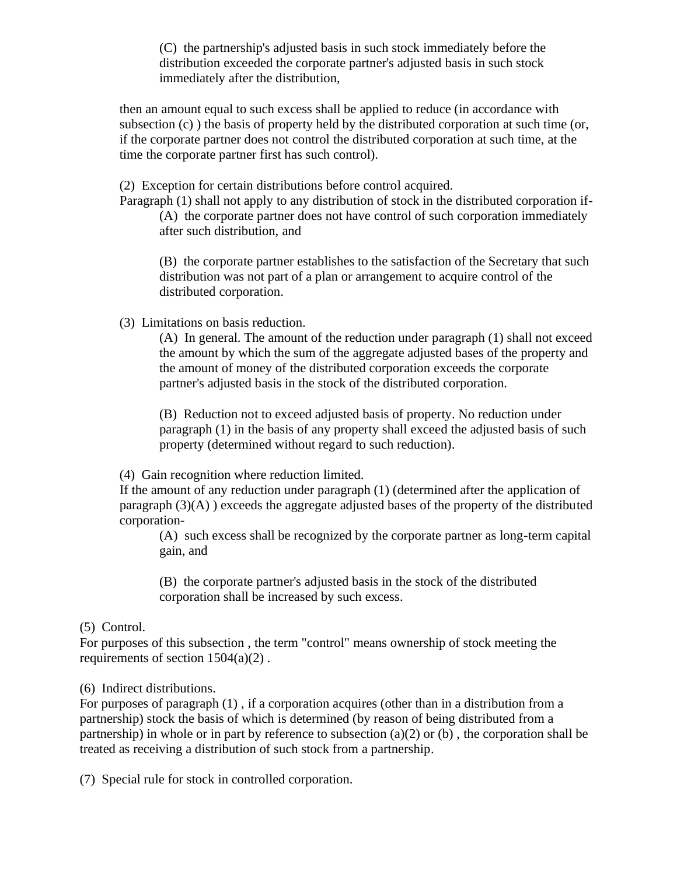(C) the partnership's adjusted basis in such stock immediately before the distribution exceeded the corporate partner's adjusted basis in such stock immediately after the distribution,

then an amount equal to such excess shall be applied to reduce (in accordance with subsection (c) ) the basis of property held by the distributed corporation at such time (or, if the corporate partner does not control the distributed corporation at such time, at the time the corporate partner first has such control).

(2) Exception for certain distributions before control acquired.

Paragraph (1) shall not apply to any distribution of stock in the distributed corporation if- (A) the corporate partner does not have control of such corporation immediately after such distribution, and

(B) the corporate partner establishes to the satisfaction of the Secretary that such distribution was not part of a plan or arrangement to acquire control of the distributed corporation.

(3) Limitations on basis reduction.

(A) In general. The amount of the reduction under paragraph (1) shall not exceed the amount by which the sum of the aggregate adjusted bases of the property and the amount of money of the distributed corporation exceeds the corporate partner's adjusted basis in the stock of the distributed corporation.

(B) Reduction not to exceed adjusted basis of property. No reduction under paragraph (1) in the basis of any property shall exceed the adjusted basis of such property (determined without regard to such reduction).

(4) Gain recognition where reduction limited.

If the amount of any reduction under paragraph (1) (determined after the application of paragraph  $(3)(A)$  ) exceeds the aggregate adjusted bases of the property of the distributed corporation-

(A) such excess shall be recognized by the corporate partner as long-term capital gain, and

(B) the corporate partner's adjusted basis in the stock of the distributed corporation shall be increased by such excess.

## (5) Control.

For purposes of this subsection , the term "control" means ownership of stock meeting the requirements of section 1504(a)(2) .

(6) Indirect distributions.

For purposes of paragraph (1) , if a corporation acquires (other than in a distribution from a partnership) stock the basis of which is determined (by reason of being distributed from a partnership) in whole or in part by reference to subsection  $(a)(2)$  or  $(b)$ , the corporation shall be treated as receiving a distribution of such stock from a partnership.

(7) Special rule for stock in controlled corporation.